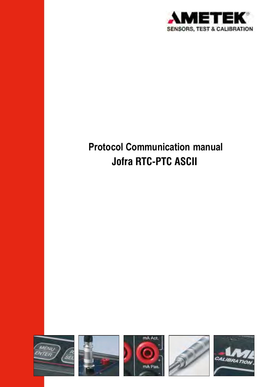

# **Protocol Communication manual Jofra RTC-PTC ASCII**

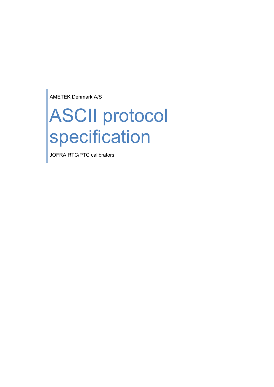AMETEK Denmark A/S

# ASCII protocol specification

JOFRA RTC/PTC calibrators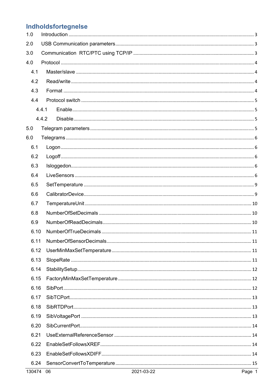# Indholdsfortegnelse

| 1.0  |       |  |  |  |  |
|------|-------|--|--|--|--|
| 2.0  |       |  |  |  |  |
| 3.0  |       |  |  |  |  |
| 4.0  |       |  |  |  |  |
| 4.1  |       |  |  |  |  |
| 4.2  |       |  |  |  |  |
| 4.3  |       |  |  |  |  |
| 4.4  |       |  |  |  |  |
|      | 4.4.1 |  |  |  |  |
|      | 4.4.2 |  |  |  |  |
| 5.0  |       |  |  |  |  |
| 6.0  |       |  |  |  |  |
| 6.1  |       |  |  |  |  |
| 6.2  |       |  |  |  |  |
| 6.3  |       |  |  |  |  |
| 6.4  |       |  |  |  |  |
| 6.5  |       |  |  |  |  |
| 6.6  |       |  |  |  |  |
| 6.7  |       |  |  |  |  |
| 6.8  |       |  |  |  |  |
| 6.9  |       |  |  |  |  |
| 6.10 |       |  |  |  |  |
| 6.11 |       |  |  |  |  |
| 6.12 |       |  |  |  |  |
| 6.13 |       |  |  |  |  |
| 6.14 |       |  |  |  |  |
| 6.15 |       |  |  |  |  |
| 6.16 |       |  |  |  |  |
| 6.17 |       |  |  |  |  |
| 6.18 |       |  |  |  |  |
| 6.19 |       |  |  |  |  |
| 6.20 |       |  |  |  |  |
| 6.21 |       |  |  |  |  |
| 6.22 |       |  |  |  |  |
| 6.23 |       |  |  |  |  |
| 6.24 |       |  |  |  |  |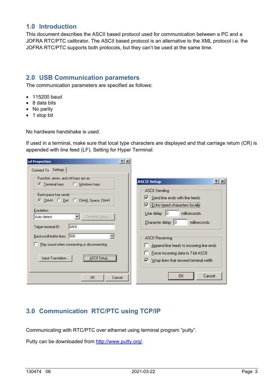# **1.0 Introduction**

This document describes the ASCII based protocol used for communication between a PC and a JOFRA RTC/PTC calibrator. The ASCII based protocol is an alternative to the XML protocol i.e. the JOFRA RTC/PTC supports both protocols, but they can't be used at the same time.

# **2.0 USB Communication parameters**

The communication parameters are specified as follows:

- 115200 baud
- 8 data bits
- No parity
- 1 stop bit

No hardware handshake is used.

If used in a terminal, make sure that local type characters are displayed and that carriage return (CR) is appended with line feed (LF). Setting for Hyper Terminal:

| sd Properties                                                                    | 2 x |                                                                                                   |
|----------------------------------------------------------------------------------|-----|---------------------------------------------------------------------------------------------------|
| Connect To Settings                                                              |     |                                                                                                   |
| Function, arrow, and ctrl keys act as<br>Terminal keys △ Windows keys<br>œ       |     | $ ?  \times$<br><b>ASCII Setup</b>                                                                |
| Backspace key sends:                                                             |     | ASCII Sending<br>$\triangleright$ Send line ends with line feeds<br>Echo typed characters locally |
| Emulation:<br>Terminal Setup<br>Auto detect<br>▼<br>IANSI<br>Telnet terminal ID: |     | $Line$ delay: $ 0 $<br>milliseconds.<br>$Character delay:  0$<br>milliseconds.                    |
| 500<br>Backscroll buffer lines:<br>Play sound when connecting or disconnecting   |     | ASCII Receiving<br>Append line feeds to incoming line ends                                        |
| ASCII Setup<br>Input Translation                                                 |     | Force incoming data to 7-bit ASCII<br>Wrap lines that exceed terminal width<br>☞                  |
| 0K<br>Cancel                                                                     |     | OΚ<br>Cancel                                                                                      |

# **3.0 Communication RTC/PTC using TCP/IP**

Communicating with RTC/PTC over ethernet using terminal program "putty".

Putty can be downloaded from http://www.putty.org/.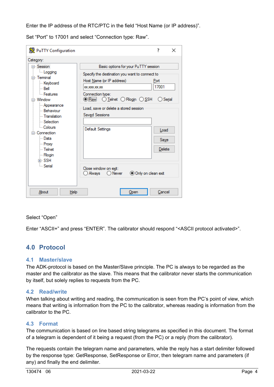Enter the IP address of the RTC/PTC in the field "Host Name (or IP address)".

Set "Port" to 17001 and select "Connection type: Raw".

| PuTTY Configuration                                                                                                                                                                                                                                                                   |                                                                                                                                                                                                                                                                                                                                                   | 7                                                   | × |
|---------------------------------------------------------------------------------------------------------------------------------------------------------------------------------------------------------------------------------------------------------------------------------------|---------------------------------------------------------------------------------------------------------------------------------------------------------------------------------------------------------------------------------------------------------------------------------------------------------------------------------------------------|-----------------------------------------------------|---|
| Category:<br>⊟- Session<br><b>Logging</b><br>⊟ Terminal<br>Keyboard<br>l⊶ Bell<br>- Features<br>⊟ Window<br>- Appearance<br>- Behaviour<br><b>Translation</b><br>Selection<br>- Colours<br>⊟ Connection<br>l… Data<br>— Proxy<br>l— Telnet<br><b>Rlogin</b><br>⊞⊢SSH<br><b>Serial</b> | Basic options for your PuTTY session<br>Specify the destination you want to connect to<br>Host Name (or IP address)<br><b>XXXXXXXXXX</b><br>Connection type:<br>◉Raw O_Telnet O_Rlogin O_SSH<br>Load, save or delete a stored session<br>Saved Sessions<br>Default Settings<br>Close window on exit:<br>○ Always<br>Only on clean exit<br>◯ Never | Port<br>17001<br>◯ Serial<br>Load<br>Save<br>Delete |   |
| About<br><b>Help</b>                                                                                                                                                                                                                                                                  | Open                                                                                                                                                                                                                                                                                                                                              | Cancel                                              |   |

#### Select "Open"

Enter "ASCII+" and press "ENTER". The calibrator should respond "<ASCII protocol activated>".

# **4.0 Protocol**

#### **4.1 Master/slave**

The ADK-protocol is based on the Master/Slave principle. The PC is always to be regarded as the master and the calibrator as the slave. This means that the calibrator never starts the communication by itself, but solely replies to requests from the PC.

#### **4.2 Read/write**

When talking about writing and reading, the communication is seen from the PC's point of view, which means that writing is information from the PC to the calibrator, whereas reading is information from the calibrator to the PC.

#### **4.3 Format**

The communication is based on line based string telegrams as specified in this document. The format of a telegram is dependent of it being a request (from the PC) or a reply (from the calibrator).

The requests contain the telegram name and parameters, while the reply has a start delimiter followed by the response type: GetResponse, SetResponse or Error, then telegram name and parameters (if any) and finally the end delimiter.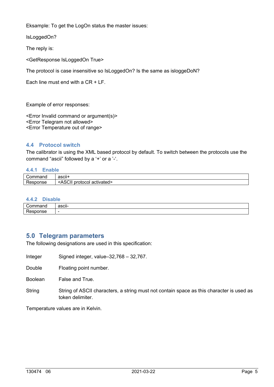Eksample: To get the LogOn status the master issues:

IsLoggedOn?

The reply is:

<GetResponse IsLoggedOn True>

The protocol is case insensitive so IsLoggedOn? Is the same as isloggeDoN?

Each line must end with a CR + LF.

Example of error responses:

<Error Invalid command or argument(s)> <Error Telegram not allowed> <Error Temperature out of range>

#### **4.4 Protocol switch**

The calibrator is using the XML based protocol by default. To switch between the protocols use the command "ascii" followed by a '+' or a '-'.

#### **4.4.1 Enable**

| Command  | $\cdot$<br>ascii+                                              |
|----------|----------------------------------------------------------------|
| ≺esponse | .001<br>$\mathbf{A}$<br>protocol<br>activated><br>יטרי<br>. اب |

#### **4.4.2 Disable**

| -<br>. | $\cdot$<br><b>10011</b><br>∽ااٺ |
|--------|---------------------------------|
| -      | -                               |

#### **5.0 Telegram parameters**

The following designations are used in this specification:

- Integer Signed integer, value–32,768 32,767.
- Double Floating point number.

Boolean False and True.

String String of ASCII characters, a string must not contain space as this character is used as token delimiter.

Temperature values are in Kelvin.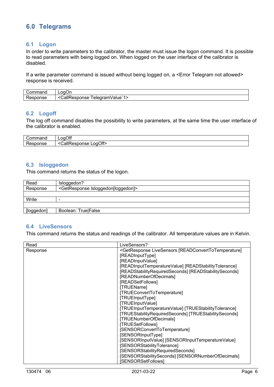# **6.0 Telegrams**

#### **6.1 Logon**

In order to write parameters to the calibrator, the master must issue the logon command. It is possible to read parameters with being logged on. When logged on the user interface of the calibrator is disabled.

If a write parameter command is issued without being logged on, a <Error Telegram not allowed> response is received.

| Command  | LoqOn                                                              |
|----------|--------------------------------------------------------------------|
| Response | <b>JallF</b><br>л.<br>elegram\<br><b>kesponse</b><br>ı∨alue<br>. . |

#### **6.2 Logoff**

The log off command disables the possibility to write parameters, at the same time the user interface of the calibrator is enabled.

| $000$ mm $\sim$            | ı∩ff<br>nn<br>∼<br>--                                                                    |
|----------------------------|------------------------------------------------------------------------------------------|
| .<br>. .<br>סכווטי<br>ハーコド | Off><br>JallF<br>∟oɑ( `<br>$\sim$ $\sim$ $\sim$<br>$\epsilon$ $\alpha$<br>≅⊓onse<br>ハーコド |

#### **6.3 Isloggedon**

This command returns the status of the logon.

| Read       | Isloggedon?                                         |
|------------|-----------------------------------------------------|
| Response   | <getresponse isloggedon[loggedon]=""></getresponse> |
|            |                                                     |
| Write      | -                                                   |
|            |                                                     |
| [loggedon] | Boolean: True False                                 |

#### **6.4 LiveSensors**

This command returns the status and readings of the calibrator. All temperature values are in Kelvin.

| <getresponse [readconverttotemperature]<br="" livesensors="">Response<br/>[READInputType]<br/>[READInputValue]<br/>[READInputTemperatureValue] [READStabilityTolerance]<br/>[READStabilityRequiredSeconds] [READStabilitySeconds]<br/>[READNumberOfDecimals]<br/>[READSetFollows]<br/>[TRUEName]<br/>[TRUEConvertToTemperature]<br/>[TRUEInputType]<br/>[TRUEInputValue]<br/>[TRUEInputTemperatureValue] [TRUEStabilityTolerance]<br/>[TRUEStabilityRequiredSeconds] [TRUEStabilitySeconds]<br/>[TRUENumberOfDecimals]<br/>[TRUESetFollows]<br/>[SENSORConvertToTemperature]<br/>[SENSORInputType]<br/>[SENSORInputValue] [SENSORInputTemperatureValue]<br/>[SENSORStabilityTolerance]<br/>[SENSORStabilityRequiredSeconds]<br/>[SENSORStabilitySeconds] [SENSORNumberOfDecimals]</getresponse> | Read | LiveSensors?       |
|-------------------------------------------------------------------------------------------------------------------------------------------------------------------------------------------------------------------------------------------------------------------------------------------------------------------------------------------------------------------------------------------------------------------------------------------------------------------------------------------------------------------------------------------------------------------------------------------------------------------------------------------------------------------------------------------------------------------------------------------------------------------------------------------------|------|--------------------|
|                                                                                                                                                                                                                                                                                                                                                                                                                                                                                                                                                                                                                                                                                                                                                                                                 |      |                    |
|                                                                                                                                                                                                                                                                                                                                                                                                                                                                                                                                                                                                                                                                                                                                                                                                 |      |                    |
|                                                                                                                                                                                                                                                                                                                                                                                                                                                                                                                                                                                                                                                                                                                                                                                                 |      |                    |
|                                                                                                                                                                                                                                                                                                                                                                                                                                                                                                                                                                                                                                                                                                                                                                                                 |      |                    |
|                                                                                                                                                                                                                                                                                                                                                                                                                                                                                                                                                                                                                                                                                                                                                                                                 |      |                    |
|                                                                                                                                                                                                                                                                                                                                                                                                                                                                                                                                                                                                                                                                                                                                                                                                 |      |                    |
|                                                                                                                                                                                                                                                                                                                                                                                                                                                                                                                                                                                                                                                                                                                                                                                                 |      |                    |
|                                                                                                                                                                                                                                                                                                                                                                                                                                                                                                                                                                                                                                                                                                                                                                                                 |      |                    |
|                                                                                                                                                                                                                                                                                                                                                                                                                                                                                                                                                                                                                                                                                                                                                                                                 |      |                    |
|                                                                                                                                                                                                                                                                                                                                                                                                                                                                                                                                                                                                                                                                                                                                                                                                 |      |                    |
|                                                                                                                                                                                                                                                                                                                                                                                                                                                                                                                                                                                                                                                                                                                                                                                                 |      |                    |
|                                                                                                                                                                                                                                                                                                                                                                                                                                                                                                                                                                                                                                                                                                                                                                                                 |      |                    |
|                                                                                                                                                                                                                                                                                                                                                                                                                                                                                                                                                                                                                                                                                                                                                                                                 |      |                    |
|                                                                                                                                                                                                                                                                                                                                                                                                                                                                                                                                                                                                                                                                                                                                                                                                 |      |                    |
|                                                                                                                                                                                                                                                                                                                                                                                                                                                                                                                                                                                                                                                                                                                                                                                                 |      |                    |
|                                                                                                                                                                                                                                                                                                                                                                                                                                                                                                                                                                                                                                                                                                                                                                                                 |      |                    |
|                                                                                                                                                                                                                                                                                                                                                                                                                                                                                                                                                                                                                                                                                                                                                                                                 |      |                    |
|                                                                                                                                                                                                                                                                                                                                                                                                                                                                                                                                                                                                                                                                                                                                                                                                 |      |                    |
|                                                                                                                                                                                                                                                                                                                                                                                                                                                                                                                                                                                                                                                                                                                                                                                                 |      |                    |
|                                                                                                                                                                                                                                                                                                                                                                                                                                                                                                                                                                                                                                                                                                                                                                                                 |      |                    |
|                                                                                                                                                                                                                                                                                                                                                                                                                                                                                                                                                                                                                                                                                                                                                                                                 |      |                    |
|                                                                                                                                                                                                                                                                                                                                                                                                                                                                                                                                                                                                                                                                                                                                                                                                 |      | [SENSORSetFollows] |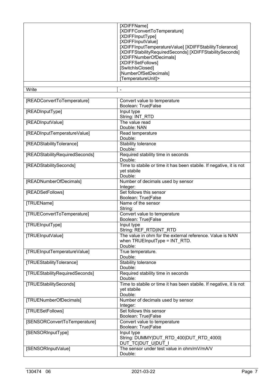|                                | [XDIFFName]<br>[XDIFFConvertToTemperature]<br>[XDIFFInputType]<br>[XDIFFInputValue]<br>[XDIFFInputTemperatureValue] [XDIFFStabilityTolerance]<br>[XDIFFStabilityRequiredSeconds] [XDIFFStabilitySeconds]<br>[XDIFFNumberOfDecimals]<br>[XDIFFSetFollows]<br>[SwitchIsClosed]<br>[NumberOfSetDecimals]<br>[TemperatureUnit]> |
|--------------------------------|-----------------------------------------------------------------------------------------------------------------------------------------------------------------------------------------------------------------------------------------------------------------------------------------------------------------------------|
| Write                          |                                                                                                                                                                                                                                                                                                                             |
| [READConvertToTemperature]     | Convert value to temperature<br>Boolean: True False                                                                                                                                                                                                                                                                         |
| [READInputType]                | Input type<br>String: INT_RTD                                                                                                                                                                                                                                                                                               |
| [READInputValue]               | The value read<br>Double: NAN                                                                                                                                                                                                                                                                                               |
| [READInputTemperatureValue]    | Read temperature<br>Double:                                                                                                                                                                                                                                                                                                 |
| [READStabilityTolerance]       | Stability tolerance<br>Double:                                                                                                                                                                                                                                                                                              |
| [READStabilityRequiredSeconds] | Required stability time in seconds<br>Double:                                                                                                                                                                                                                                                                               |
| [READStabilitySeconds]         | Time to stabile or time it has been stabile. If negative, it is not<br>yet stabile<br>Double:                                                                                                                                                                                                                               |
| [READNumberOfDecimals]         | Number of decimals used by sensor<br>Integer:                                                                                                                                                                                                                                                                               |
| [READSetFollows]               | Set follows this sensor<br>Boolean: True False                                                                                                                                                                                                                                                                              |
| [TRUEName]                     | Name of the sensor<br>String:                                                                                                                                                                                                                                                                                               |
| [TRUEConvertToTemperature]     | Convert value to temperature<br>Boolean: True False                                                                                                                                                                                                                                                                         |
| [TRUEInputType]                | Input type<br>String: REF RTD INT RTD                                                                                                                                                                                                                                                                                       |
| [TRUEInputValue]               | The value in ohm for the external reference. Value is NAN<br>when TRUEInputType = INT_RTD.<br>Double:                                                                                                                                                                                                                       |
| [TRUEInputTemperatureValue]    | True temperature.<br>Double:                                                                                                                                                                                                                                                                                                |
| [TRUEStabilityTolerance]       | Stability tolerance<br>Double:                                                                                                                                                                                                                                                                                              |
| [TRUEStabilityRequiredSeconds] | Required stability time in seconds<br>Double:                                                                                                                                                                                                                                                                               |
| [TRUEStabilitySeconds]         | Time to stabile or time it has been stabile. If negative, it is not<br>yet stabile<br>Double:                                                                                                                                                                                                                               |
| <b>ITRUENumberOfDecimals]</b>  | Number of decimals used by sensor<br>Integer:                                                                                                                                                                                                                                                                               |
| [TRUESetFollows]               | Set follows this sensor<br>Boolean: True False                                                                                                                                                                                                                                                                              |
| [SENSORConvertToTemperature]   | Convert value to temperature<br>Boolean: True False                                                                                                                                                                                                                                                                         |
| [SENSORInputType]              | Input type<br>String: DUMMY DUT_RTD_400 DUT_RTD_4000 <br>DUT_TC DUT_U DUT_                                                                                                                                                                                                                                                  |
| [SENSORInputValue]             | The sensor under test value in ohm/mV/mA/V<br>Double:                                                                                                                                                                                                                                                                       |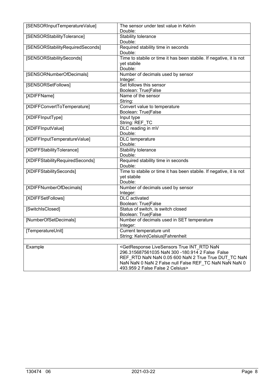| [SENSORInputTemperatureValue]    | The sensor under test value in Kelvin<br>Double:                                                                                                                                                                                                                                 |
|----------------------------------|----------------------------------------------------------------------------------------------------------------------------------------------------------------------------------------------------------------------------------------------------------------------------------|
| [SENSORStabilityTolerance]       | Stability tolerance<br>Double:                                                                                                                                                                                                                                                   |
| [SENSORStabilityRequiredSeconds] | Required stability time in seconds<br>Double:                                                                                                                                                                                                                                    |
| [SENSORStabilitySeconds]         | Time to stabile or time it has been stabile. If negative, it is not<br>yet stabile<br>Double:                                                                                                                                                                                    |
| [SENSORNumberOfDecimals]         | Number of decimals used by sensor<br>Integer:                                                                                                                                                                                                                                    |
| [SENSORSetFollows]               | Set follows this sensor<br>Boolean: True False                                                                                                                                                                                                                                   |
| [XDIFFName]                      | Name of the sensor<br>String:                                                                                                                                                                                                                                                    |
| [XDIFFConvertToTemperature]      | Convert value to temperature<br>Boolean: True False                                                                                                                                                                                                                              |
| [XDIFFInputType]                 | Input type<br>String: REF_TC                                                                                                                                                                                                                                                     |
| [XDIFFInputValue]                | DLC reading in mV<br>Double:                                                                                                                                                                                                                                                     |
| [XDIFFInputTemperatureValue]     | DLC temperature<br>Double:                                                                                                                                                                                                                                                       |
| [XDIFFStabilityTolerance]        | Stability tolerance<br>Double:                                                                                                                                                                                                                                                   |
| [XDIFFStabilityRequiredSeconds]  | Required stability time in seconds<br>Double:                                                                                                                                                                                                                                    |
| [XDIFFStabilitySeconds]          | Time to stabile or time it has been stabile. If negative, it is not<br>yet stabile<br>Double:                                                                                                                                                                                    |
| [XDIFFNumberOfDecimals]          | Number of decimals used by sensor<br>Integer:                                                                                                                                                                                                                                    |
| [XDIFFSetFollows]                | <b>DLC</b> activated<br>Boolean: True False                                                                                                                                                                                                                                      |
| [SwitchIsClosed]                 | Status of switch, is switch closed<br>Boolean: True False                                                                                                                                                                                                                        |
| [NumberOfSetDecimals]            | Number of decimals used in SET temperature<br>Integer:                                                                                                                                                                                                                           |
| [TemperatureUnit]                | Current temperature unit<br>String: Kelvin Celsius Fahrenheit                                                                                                                                                                                                                    |
| Example                          | <getresponse int_rtd="" livesensors="" nan<br="" true="">296.315687561035 NaN 300 -180.914 2 False False<br/>REF RTD NaN NaN 0.05 600 NaN 2 True True DUT TC NaN<br/>NaN NaN 0 NaN 2 False null False REF_TC NaN NaN NaN 0<br/>493.959 2 False False 2 Celsius&gt;</getresponse> |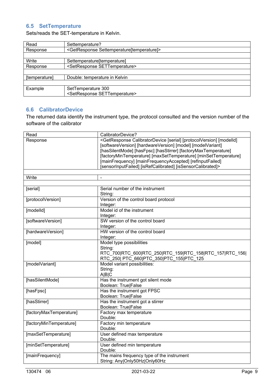# **6.5 SetTemperature**

Sets/reads the SET-temperature in Kelvin.

| Read          | Settemperature?                                            |
|---------------|------------------------------------------------------------|
| Response      | <getresponse settemperature[temperature]=""></getresponse> |
|               |                                                            |
| Write         | Settemperature[temperature]                                |
| Response      | <setresponse settemperature=""></setresponse>              |
|               |                                                            |
| [temperature] | Double: temperature in Kelvin                              |
|               |                                                            |
| Example       | SetTemperature 300                                         |
|               | <setresponse settemperature=""></setresponse>              |

#### **6.6 CalibratorDevice**

The returned data identify the instrument type, the protocol consulted and the version number of the software of the calibrator

| Read                    | CalibratorDevice?                                                                                    |
|-------------------------|------------------------------------------------------------------------------------------------------|
| Response                | <getresponse [modelid]<="" [protocolversion]="" [serial]="" calibratordevice="" td=""></getresponse> |
|                         | [softwareVersion] [hardwareVersion] [model] [modelVariant]                                           |
|                         | [hasSilentMode] [hasFpsc] [hasStirrer] [factoryMaxTemperature]                                       |
|                         | [factoryMinTemperature] [maxSetTemperature] [minSetTemperature]                                      |
|                         | [mainFrequency] [mainFrequencyAccepted] [reflnputFailed]                                             |
|                         | [sensorInputFailed] [isRefCalibrated] [isSensorCalibrated]>                                          |
| Write                   | $\overline{a}$                                                                                       |
|                         |                                                                                                      |
| [serial]                | Serial number of the instrument                                                                      |
|                         | String:                                                                                              |
| [protocolVersion]       | Version of the control board protocol                                                                |
|                         | Integer:                                                                                             |
| [modelld]               | Model id of the instrument                                                                           |
|                         | Integer:                                                                                             |
| [softwareVersion]       | SW version of the control board                                                                      |
|                         | Integer:                                                                                             |
| [hardwareVersion]       | HW version of the control board                                                                      |
|                         | Integer:                                                                                             |
| [model]                 | Model type possibilities                                                                             |
|                         | String:                                                                                              |
|                         | RTC_700 RTC_600 RTC_250 RTC_159 RTC_158 RTC_157 RTC_156                                              |
|                         | RTC 250 PTC 660 PTC 350 PTC 155 PTC 125                                                              |
| [modelVariant]          | Model variant possibilities:                                                                         |
|                         | String:                                                                                              |
|                         | A B C                                                                                                |
| [hasSilentMode]         | Has the instrument got silent mode                                                                   |
|                         | Boolean: True False                                                                                  |
| [hasFpsc]               | Has the instrument got FPSC                                                                          |
|                         | Boolean: True False                                                                                  |
| [hasStirrer]            | Has the instrument got a stirrer                                                                     |
|                         | <b>Boolean: True False</b>                                                                           |
| [factoryMaxTemperature] | Factory max temperature                                                                              |
|                         | Double:                                                                                              |
| [factoryMinTemperature] | Factory min temperature                                                                              |
|                         | Double:                                                                                              |
| [maxSetTemperature]     | User defined max temperature                                                                         |
|                         | Double:                                                                                              |
| [minSetTemperature]     | User defined min temperature                                                                         |
|                         | Double:                                                                                              |
| [mainFrequency]         | The mains frequency type of the instrument                                                           |
|                         | String: Any Only50Hz Only60Hz                                                                        |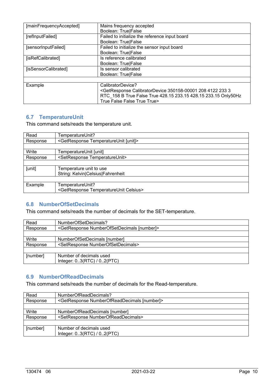| [mainFrequencyAccepted] | Mains frequency accepted<br>Boolean: True False                                                   |
|-------------------------|---------------------------------------------------------------------------------------------------|
| [refInputFailed]        | Failed to initialize the reference input board                                                    |
|                         | <b>Boolean: True False</b>                                                                        |
| [sensorInputFailed]     | Failed to initialize the sensor input board                                                       |
|                         | <b>Boolean: True False</b>                                                                        |
| [isRefCalibrated]       | Is reference calibrated                                                                           |
|                         | <b>Boolean: True False</b>                                                                        |
| [isSensorCalibrated]    | Is sensor calibrated                                                                              |
|                         | Boolean: True False                                                                               |
|                         |                                                                                                   |
| Example                 | CalibratorDevice?                                                                                 |
|                         | <getresponse 208="" 233="" 350158-00001="" 3<="" 4122="" calibratordevice="" td=""></getresponse> |
|                         | RTC 158 B True False True 428.15 233.15 428.15 233.15 Only50Hz                                    |
|                         | True False False True True>                                                                       |

### **6.7 TemperatureUnit**

This command sets/reads the temperature unit.

| Read     | TemperatureUnit?                                          |
|----------|-----------------------------------------------------------|
| Response | <getresponse [unit]="" temperatureunit=""></getresponse>  |
|          |                                                           |
| Write    | TemperatureUnit [unit]                                    |
| Response | <setresponse temperatureunit=""></setresponse>            |
|          |                                                           |
| [unit]   | Temperature unit to use                                   |
|          | String: Kelvin Celsius Fahrenheit                         |
|          |                                                           |
| Example  | TemperatureUnit?                                          |
|          | <getresponse celsius="" temperatureunit=""></getresponse> |

#### **6.8 NumberOfSetDecimals**

This command sets/reads the number of decimals for the SET-temperature.

| Read     | NumberOfSetDecimals?                                           |  |
|----------|----------------------------------------------------------------|--|
| Response | <getresponse [number]="" numberofsetdecimals=""></getresponse> |  |
|          |                                                                |  |
| Write    | NumberOfSetDecimals [number]                                   |  |
| Response | <setresponse numberofsetdecimals=""></setresponse>             |  |
|          |                                                                |  |
| [number] | Number of decimals used                                        |  |
|          | Integer: $0.3(RTC) / 0.2(PTC)$                                 |  |

#### **6.9 NumberOfReadDecimals**

This command sets/reads the number of decimals for the Read-temperature.

| Read     | NumberOfReadDecimals?                                           |  |
|----------|-----------------------------------------------------------------|--|
| Response | <getresponse [number]="" numberofreaddecimals=""></getresponse> |  |
|          |                                                                 |  |
| Write    | NumberOfReadDecimals [number]                                   |  |
| Response | <setresponse numberofreaddecimals=""></setresponse>             |  |
|          |                                                                 |  |
| [number] | Number of decimals used                                         |  |
|          | Integer: 03(RTC) / 02(PTC)                                      |  |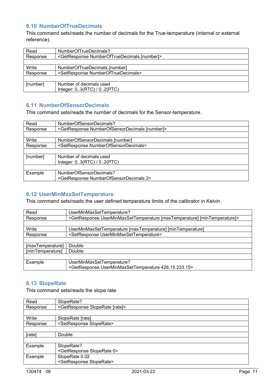#### **6.10 NumberOfTrueDecimals**

This command sets/reads the number of decimals for the True-temperature (internal or external reference).

| Read     | NumberOfTrueDecimals?                                           |  |
|----------|-----------------------------------------------------------------|--|
| Response | <getresponse [number]="" numberoftruedecimals=""></getresponse> |  |
|          |                                                                 |  |
| Write    | NumberOfTrueDecimals [number]                                   |  |
| Response | <setresponse numberoftruedecimals=""></setresponse>             |  |
|          |                                                                 |  |
| [number] | Number of decimals used                                         |  |
|          | Integer: $0.3(RTC) / 0.2(PTC)$                                  |  |

#### **6.11 NumberOfSensorDecimals**

This command sets/reads the number of decimals for the Sensor-temperature.

| Read     | NumberOfSensorDecimals?                                           |
|----------|-------------------------------------------------------------------|
| Response | <getresponse [number]="" numberofsensordecimals=""></getresponse> |
|          |                                                                   |
| Write    | NumberOfSensorDecimals [number]                                   |
| Response | <setresponse numberofsensordecimals=""></setresponse>             |
|          |                                                                   |
| [number] | Number of decimals used                                           |
|          | Integer: 03(RTC) / 02(PTC)                                        |
|          |                                                                   |
| Example  | NumberOfSensorDecimals?                                           |
|          | <getresponse 2="" numberofsensordecimals=""></getresponse>        |

#### **6.12 UserMinMaxSetTemperature**

This command sets/reads the user defined temperature limits of the calibrator in Kelvin.

| Read             | UserMinMaxSetTemperature?                                                                       |
|------------------|-------------------------------------------------------------------------------------------------|
| Response         | <getresponse [maxtemperature]="" [mintemperature]="" userminmaxsettemperature=""></getresponse> |
|                  |                                                                                                 |
| Write            | UserMinMaxSetTemperature [maxTemperature] [minTemperature]                                      |
| Response         | <setresponse userminmaxsettemperature=""></setresponse>                                         |
|                  |                                                                                                 |
| [maxTemperature] | Double:                                                                                         |
| [minTemperature] | Double:                                                                                         |
|                  |                                                                                                 |
| Example          | UserMinMaxSetTemperature?                                                                       |
|                  | <getresponse 233.15="" 428.15="" userminmaxsettemperature=""></getresponse>                     |

#### **6.13 SlopeRate**

This command sets/reads the slope rate.

| Read     | SlopeRate?                                         |  |
|----------|----------------------------------------------------|--|
| Response | <getresponse [rate]="" sloperate=""></getresponse> |  |
|          |                                                    |  |
| Write    | SlopeRate [rate]                                   |  |
| Response | <setresponse sloperate=""></setresponse>           |  |
|          |                                                    |  |
| [rate]   | Double:                                            |  |
|          |                                                    |  |
| Example  | SlopeRate?                                         |  |
|          | <getresponse 0="" sloperate=""></getresponse>      |  |
| Example  | SlopeRate 0.02                                     |  |
|          | <setresponse sloperate=""></setresponse>           |  |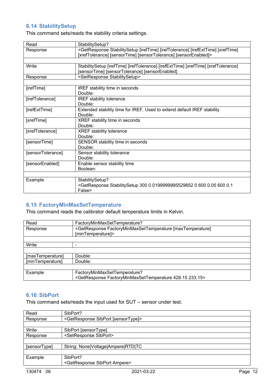# **6.14 StabilitySetup**

This command sets/reads the stability criteria settings.

| Read              | StabilitySetup?                                                                                                      |
|-------------------|----------------------------------------------------------------------------------------------------------------------|
| Response          | <getresponse [irefexttime]="" [ireftime]="" [ireftolerance]="" [xreftime]<="" stabilitysetup="" td=""></getresponse> |
|                   | [xrefTolerance] [sensorTime] [sensorTolerance] [sensorEnabled]>                                                      |
|                   |                                                                                                                      |
| Write             | StabilitySetup [irefTime] [irefTolerance] [irefExtTime] [xrefTime] [xrefTolerance]                                   |
|                   | [sensorTime] [sensorTolerance] [sensorEnabled]                                                                       |
| Response          | <setresponse stabilitysetup=""></setresponse>                                                                        |
|                   |                                                                                                                      |
| [irefTime]        | <b>IREF</b> stability time in seconds                                                                                |
|                   | Double:                                                                                                              |
| [irefTolerance]   | <b>IREF stability tolerance</b>                                                                                      |
|                   | Double:                                                                                                              |
| [irefExtTime]     | Extended stability time for IREF. Used to extend default IREF stability                                              |
|                   | Double:                                                                                                              |
| [xrefTime]        | XREF stability time in seconds                                                                                       |
|                   | Double:                                                                                                              |
| [xrefTolerance]   | XREF stability tolerance                                                                                             |
|                   | Double:                                                                                                              |
| [sensorTime]      | SENSOR stability time in seconds                                                                                     |
|                   | Double:                                                                                                              |
| [sensorTolerance] | Sensor stability tolerance                                                                                           |
|                   | Double:                                                                                                              |
| [sensorEnabled]   | Enable sensor stability time                                                                                         |
|                   | Boolean:                                                                                                             |
|                   |                                                                                                                      |
| Example           | StabilitySetup?                                                                                                      |
|                   | <getresponse 0="" 0.0199999995529652="" 0.05="" 0.1<="" 300="" 600="" stabilitysetup="" td=""></getresponse>         |
|                   | False>                                                                                                               |

# **6.15 FactoryMinMaxSetTemperature**

This command reads the calibrator default temperature limits in Kelvin.

| Read             | FactoryMinMaxSetTemperature?                                                                          |
|------------------|-------------------------------------------------------------------------------------------------------|
| Response         | <getresponse [maxtemperature]<br="" factoryminmaxsettemperature="">[minTemperature]&gt;</getresponse> |
|                  |                                                                                                       |
| Write            |                                                                                                       |
|                  |                                                                                                       |
| [maxTemperature] | Double:                                                                                               |
| [minTemperature] | Double:                                                                                               |
|                  |                                                                                                       |
| Example          | FactoryMinMaxSetTemperature?                                                                          |
|                  | <getresponse 233.15="" 428.15="" factoryminmaxsettemperature=""></getresponse>                        |

#### **6.16 SibPort**

This command sets/reads the input used for SUT – sensor under test.

| Read         | SibPort?                                               |
|--------------|--------------------------------------------------------|
| Response     | <getresponse [sensortype]="" sibport=""></getresponse> |
|              |                                                        |
| Write        | SibPort [sensorType]                                   |
| Response     | <setresponse sibport=""></setresponse>                 |
|              |                                                        |
| [sensorType] | String: None Voltage Ampere RTD TC                     |
|              |                                                        |
| Example      | SibPort?                                               |
|              | <getresponse ampere="" sibport=""></getresponse>       |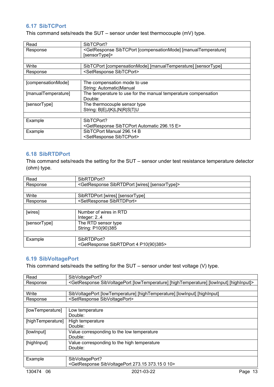#### **6.17 SibTCPort**

This command sets/reads the SUT – sensor under test thermocouple (mV) type.

| Read                | SibTCPort?                                                                                   |
|---------------------|----------------------------------------------------------------------------------------------|
| Response            | <getresponse [compensationmode]="" [manualtemperature]<="" sibtcport="" td=""></getresponse> |
|                     | [sensorType]>                                                                                |
|                     |                                                                                              |
| Write               | SibTCPort [compensationMode] [manualTemperature] [sensorType]                                |
| Response            | <setresponse sibtcport=""></setresponse>                                                     |
|                     |                                                                                              |
| [compensationMode]  | The compensation mode to use                                                                 |
|                     | String: Automatic Manual                                                                     |
| [manualTemperature] | The temperature to use for the manual temperature compensation                               |
|                     | Double:                                                                                      |
| [sensorType]        | The thermocouple sensor type                                                                 |
|                     | String: B E J K L N R S T U                                                                  |
|                     |                                                                                              |
| Example             | SibTCPort?                                                                                   |
|                     | <getresponse 296.15="" automatic="" e="" sibtcport=""></getresponse>                         |
| Example             | SibTCPort Manual 296.14 B                                                                    |
|                     | <setresponse sibtcport=""></setresponse>                                                     |

#### **6.18 SibRTDPort**

This command sets/reads the setting for the SUT – sensor under test resistance temperature detector (ohm) type.

| Read         | SibRTDPort?                                                          |
|--------------|----------------------------------------------------------------------|
| Response     | <getresponse [sensortype]="" [wires]="" sibrtdport=""></getresponse> |
|              |                                                                      |
| Write        | SibRTDPort [wires] [sensorType]                                      |
| Response     | <setresponse sibrtdport=""></setresponse>                            |
|              |                                                                      |
| [wires]      | Number of wires in RTD                                               |
|              | Integer: $2.4$                                                       |
| [sensorType] | The RTD sensor type                                                  |
|              | String: P10(90)385                                                   |
|              |                                                                      |
| Example      | SibRTDPort?                                                          |
|              | <getresponse 4="" p10(90)385="" sibrtdport=""></getresponse>         |

### **6.19 SibVoltagePort**

This command sets/reads the setting for the SUT – sensor under test voltage (V) type.

| SibVoltagePort?                                                                                                     |
|---------------------------------------------------------------------------------------------------------------------|
| <getresponse [highinput]="" [hightemperature]="" [lowinput]="" [lowtemperature]="" sibvoltageport=""></getresponse> |
|                                                                                                                     |
| SibVoltagePort [lowTemperature] [highTemperature] [lowInput] [highInput]                                            |
| <setresponse sibvoltageport=""></setresponse>                                                                       |
|                                                                                                                     |
| Low temperature                                                                                                     |
| Double:                                                                                                             |
| High temperature                                                                                                    |
| Double:                                                                                                             |
| Value corresponding to the low temperature                                                                          |
| Double:                                                                                                             |
| Value corresponding to the high temperature                                                                         |
| Double:                                                                                                             |
|                                                                                                                     |
| SibVoltagePort?                                                                                                     |
| <getresponse 0="" 10="" 273.15="" 373.15="" sibvoltageport=""></getresponse>                                        |
|                                                                                                                     |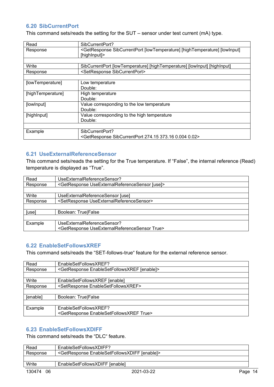#### **6.20 SibCurrentPort**

This command sets/reads the setting for the SUT – sensor under test current (mA) type.

| Read              | SibCurrentPort?                                                                                             |
|-------------------|-------------------------------------------------------------------------------------------------------------|
| Response          | <getresponse [hightemperature]="" [lowinput]<="" [lowtemperature]="" sibcurrentport="" td=""></getresponse> |
|                   | [highInput]>                                                                                                |
|                   |                                                                                                             |
| Write             | SibCurrentPort [lowTemperature] [highTemperature] [lowInput] [highInput]                                    |
| Response          | <setresponse sibcurrentport=""></setresponse>                                                               |
|                   |                                                                                                             |
| [lowTemperature]  | Low temperature                                                                                             |
|                   | Double:                                                                                                     |
| [highTemperature] | High temperature                                                                                            |
|                   | Double:                                                                                                     |
| [lowInput]        | Value corresponding to the low temperature                                                                  |
|                   | Double:                                                                                                     |
| [highInput]       | Value corresponding to the high temperature                                                                 |
|                   | Double:                                                                                                     |
|                   |                                                                                                             |
| Example           | SibCurrentPort?                                                                                             |
|                   | <getresponse 0.004="" 0.02="" 274.15="" 373.16="" sibcurrentport=""></getresponse>                          |

#### **6.21 UseExternalReferenceSensor**

This command sets/reads the setting for the True temperature. If "False", the internal reference (Read) temperature is displayed as "True".

| Read     | UseExternalReferenceSensor?                                        |
|----------|--------------------------------------------------------------------|
| Response | <getresponse [use]="" useexternalreferencesensor=""></getresponse> |
|          |                                                                    |
| Write    | UseExternalReferenceSensor [use]                                   |
| Response | <setresponse useexternalreferencesensor=""></setresponse>          |
|          |                                                                    |
| [use]    | Boolean: True False                                                |
|          |                                                                    |
| Example  | UseExternalReferenceSensor?                                        |
|          | <getresponse true="" useexternalreferencesensor=""></getresponse>  |

#### **6.22 EnableSetFollowsXREF**

This command sets/reads the "SET-follows-true" feature for the external reference sensor.

| Read     | EnableSetFollowsXREF?                                           |
|----------|-----------------------------------------------------------------|
| Response | <getresponse [enable]="" enablesetfollowsxref=""></getresponse> |
|          |                                                                 |
| Write    | EnableSetFollowsXREF [enable]                                   |
| Response | <setresponse enablesetfollowsxref=""></setresponse>             |
|          |                                                                 |
| [enable] | Boolean: True False                                             |
|          |                                                                 |
| Example  | EnableSetFollowsXREF?                                           |
|          | <getresponse enablesetfollowsxref="" true=""></getresponse>     |

#### **6.23 EnableSetFollowsXDIFF**

This command sets/reads the "DLC" feature.

| Read         | EnableSetFollowsXDIFF?                                           |            |
|--------------|------------------------------------------------------------------|------------|
| Response     | <getresponse [enable]="" enablesetfollowsxdiff=""></getresponse> |            |
|              |                                                                  |            |
| Write        | EnableSetFollowsXDIFF [enable]                                   |            |
| 130474<br>06 | 2021-03-22                                                       | 14<br>Page |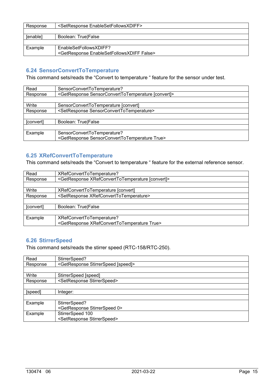| Response        | <setresponse enablesetfollowsxdiff=""></setresponse>          |
|-----------------|---------------------------------------------------------------|
|                 |                                                               |
| <b>Senablel</b> | Boolean: True False                                           |
|                 |                                                               |
| Example         | EnableSetFollowsXDIFF?                                        |
|                 | <getresponse enablesetfollowsxdiff="" false=""></getresponse> |

# **6.24 SensorConvertToTemperature**

This command sets/reads the "Convert to temperature " feature for the sensor under test.

| Read      | SensorConvertToTemperature?                                            |
|-----------|------------------------------------------------------------------------|
| Response  | <getresponse [convert]="" sensorconverttotemperature=""></getresponse> |
|           |                                                                        |
| Write     | SensorConvertToTemperature [convert]                                   |
| Response  | <setresponse sensorconverttotemperature=""></setresponse>              |
|           |                                                                        |
| [convert] | Boolean: True False                                                    |
|           |                                                                        |
| Example   | SensorConvertToTemperature?                                            |
|           | <getresponse sensorconverttotemperature="" true=""></getresponse>      |

# **6.25 XRefConvertToTemperature**

This command sets/reads the "Convert to temperature " feature for the external reference sensor.

| Read      | XRefConvertToTemperature?                                            |
|-----------|----------------------------------------------------------------------|
| Response  | <getresponse [convert]="" xrefconverttotemperature=""></getresponse> |
|           |                                                                      |
| Write     | XRefConvertToTemperature [convert]                                   |
| Response  | <setresponse xrefconverttotemperature=""></setresponse>              |
|           |                                                                      |
| [convert] | Boolean: True False                                                  |
|           |                                                                      |
| Example   | XRefConvertToTemperature?                                            |
|           | <getresponse true="" xrefconverttotemperature=""></getresponse>      |

#### **6.26 StirrerSpeed**

This command sets/reads the stirrer speed (RTC-158/RTC-250).

| Read     | StirrerSpeed?                                          |
|----------|--------------------------------------------------------|
| Response | <getresponse [speed]="" stirrerspeed=""></getresponse> |
|          |                                                        |
| Write    | StirrerSpeed [speed]                                   |
| Response | <setresponse stirrerspeed=""></setresponse>            |
|          |                                                        |
| [speed]  | Integer:                                               |
|          |                                                        |
| Example  | StirrerSpeed?                                          |
|          | <getresponse 0="" stirrerspeed=""></getresponse>       |
| Example  | StirrerSpeed 100                                       |
|          | <setresponse stirrerspeed=""></setresponse>            |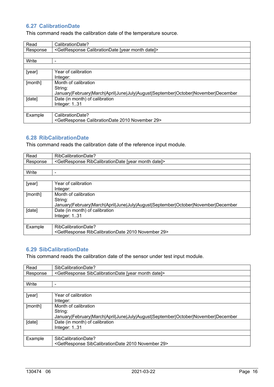## **6.27 CalibrationDate**

This command reads the calibration date of the temperature source.

| Read     | CalibrationDate?                                                                  |  |
|----------|-----------------------------------------------------------------------------------|--|
| Response | <getresponse [year="" calibrationdate="" date]="" month=""></getresponse>         |  |
|          |                                                                                   |  |
| Write    | -                                                                                 |  |
|          |                                                                                   |  |
| [year]   | Year of calibration                                                               |  |
|          | Integer:                                                                          |  |
| [month]  | Month of calibration                                                              |  |
|          | String:                                                                           |  |
|          | January February March April June July August September October November December |  |
| [date]   | Date (in month) of calibration                                                    |  |
|          | Integer: $1.31$                                                                   |  |
|          |                                                                                   |  |
| Example  | CalibrationDate?                                                                  |  |
|          | <getresponse 2010="" 29="" calibrationdate="" november=""></getresponse>          |  |

#### **6.28 RibCalibrationDate**

This command reads the calibration date of the reference input module.

| Read     | RibCalibrationDate?                                                               |  |
|----------|-----------------------------------------------------------------------------------|--|
| Response | <getresponse [year="" date]="" month="" ribcalibrationdate=""></getresponse>      |  |
|          |                                                                                   |  |
| Write    | -                                                                                 |  |
|          |                                                                                   |  |
| [year]   | Year of calibration                                                               |  |
|          | Integer:                                                                          |  |
| [month]  | Month of calibration                                                              |  |
|          | String:                                                                           |  |
|          | January February March April June July August September October November December |  |
| [date]   | Date (in month) of calibration                                                    |  |
|          | Integer: $1.31$                                                                   |  |
|          |                                                                                   |  |
| Example  | RibCalibrationDate?                                                               |  |
|          | <getresponse 2010="" 29="" november="" ribcalibrationdate=""></getresponse>       |  |

# **6.29 SibCalibrationDate**

This command reads the calibration date of the sensor under test input module.

| Read     | SibCalibrationDate?                                                               |  |
|----------|-----------------------------------------------------------------------------------|--|
| Response | <getresponse [year="" date]="" month="" sibcalibrationdate=""></getresponse>      |  |
|          |                                                                                   |  |
| Write    | ۰                                                                                 |  |
|          |                                                                                   |  |
| [year]   | Year of calibration                                                               |  |
|          | Integer:                                                                          |  |
| [month]  | Month of calibration                                                              |  |
|          | String:                                                                           |  |
|          | January February March April June July August September October November December |  |
| [date]   | Date (in month) of calibration                                                    |  |
|          | Integer: 131                                                                      |  |
|          |                                                                                   |  |
| Example  | SibCalibrationDate?                                                               |  |
|          | <getresponse 2010="" 29="" november="" sibcalibrationdate=""></getresponse>       |  |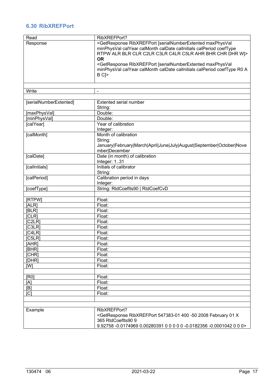# **6.30 RibXREFPort**

| Read                   | RibXREFPort?                                                                                                                                                                                                                                                                                                                                                                                         |
|------------------------|------------------------------------------------------------------------------------------------------------------------------------------------------------------------------------------------------------------------------------------------------------------------------------------------------------------------------------------------------------------------------------------------------|
| Response               | <getresponse [serialnumberextented="" maxphysval<br="" ribxrefport="">minPhysVal calYear calMonth calDate calInitials calPeriod coefType<br/>RTPW ALR BLR CLR C2LR C3LR C4LR C5LR AHR BHR CHR DHR W &gt;<br/><b>OR</b><br/><getresponse [serialnumberextented="" maxphysval<br="" ribxrefport="">minPhysVal calYear calMonth calDate calInitials calPeriod coefType R0 A</getresponse></getresponse> |
|                        | B C                                                                                                                                                                                                                                                                                                                                                                                                  |
| Write                  | $\overline{\phantom{a}}$                                                                                                                                                                                                                                                                                                                                                                             |
|                        |                                                                                                                                                                                                                                                                                                                                                                                                      |
| [serialNumberExtented] | <b>Extented serial number</b><br>String:                                                                                                                                                                                                                                                                                                                                                             |
| [maxPhysVal]           | Double:                                                                                                                                                                                                                                                                                                                                                                                              |
| [minPhysVal]           | Double:                                                                                                                                                                                                                                                                                                                                                                                              |
| [calYear]              | Year of calibration<br>Integer:                                                                                                                                                                                                                                                                                                                                                                      |
| [calMonth]             | Month of calibration<br>String:<br>January February March April June July August September October Nove<br>mber December                                                                                                                                                                                                                                                                             |
| [calDate]              | Date (in month) of calibration<br>Integer: 131                                                                                                                                                                                                                                                                                                                                                       |
| [callnitials]          | Initials of calibrator<br>String:                                                                                                                                                                                                                                                                                                                                                                    |
| [calPeriod]            | Calibration period in days<br>Integer:                                                                                                                                                                                                                                                                                                                                                               |
| [coefType]             | String: RtdCoefIts90   RtdCoefCvD                                                                                                                                                                                                                                                                                                                                                                    |
| [RTPW]                 | Float:                                                                                                                                                                                                                                                                                                                                                                                               |
| [ALR]                  | Float:                                                                                                                                                                                                                                                                                                                                                                                               |
| [BLR]                  | Float:                                                                                                                                                                                                                                                                                                                                                                                               |
| [CLR]                  | Float:                                                                                                                                                                                                                                                                                                                                                                                               |
| [C2LR]                 | Float:                                                                                                                                                                                                                                                                                                                                                                                               |
| [C3LR]                 | Float:                                                                                                                                                                                                                                                                                                                                                                                               |
| [C4LR]                 | Float:                                                                                                                                                                                                                                                                                                                                                                                               |
| [C5LR]                 | Float:                                                                                                                                                                                                                                                                                                                                                                                               |
| [AHR]                  | Float:                                                                                                                                                                                                                                                                                                                                                                                               |
| [BHR]                  | Float:                                                                                                                                                                                                                                                                                                                                                                                               |
| [CHR]                  | Float:                                                                                                                                                                                                                                                                                                                                                                                               |
| [DHR]                  | Float:                                                                                                                                                                                                                                                                                                                                                                                               |
| [W]                    | Float:                                                                                                                                                                                                                                                                                                                                                                                               |
| [RO]                   | Float:                                                                                                                                                                                                                                                                                                                                                                                               |
| [A]                    | Float:                                                                                                                                                                                                                                                                                                                                                                                               |
| [B]                    | Float:                                                                                                                                                                                                                                                                                                                                                                                               |
| [C]                    | Float:                                                                                                                                                                                                                                                                                                                                                                                               |
|                        |                                                                                                                                                                                                                                                                                                                                                                                                      |
| Example                | RibXREFPort?                                                                                                                                                                                                                                                                                                                                                                                         |
|                        | <getresponse -50="" 01="" 2008="" 400="" 547383-01="" february="" ribxrefport="" td="" x<=""></getresponse>                                                                                                                                                                                                                                                                                          |
|                        | 365 RtdCoefIts90 9<br>9.92758 -0.0174969 0.00280391 0 0 0 0 0 -0.0182356 -0.0001042 0 0 0>                                                                                                                                                                                                                                                                                                           |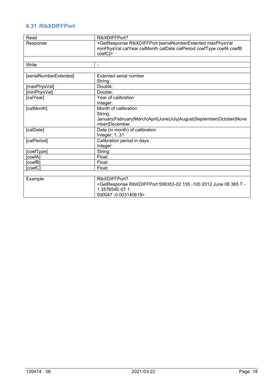# **6.31 RibXDIFFPort**

| Read                   | RibXDIFFPort?                                                                                                         |
|------------------------|-----------------------------------------------------------------------------------------------------------------------|
| Response               | <getresponse [serialnumberextented="" maxphysval<="" ribxdiffport="" td=""></getresponse>                             |
|                        | minPhysVal calYear calMonth calDate calPeriod coefType coefA coefB                                                    |
|                        | coefC <sub>l</sub> >                                                                                                  |
|                        |                                                                                                                       |
| Write                  | $\overline{\phantom{a}}$                                                                                              |
|                        |                                                                                                                       |
| [serialNumberExtented] | Extented serial number                                                                                                |
|                        | String:                                                                                                               |
| [maxPhysVal]           | Double:                                                                                                               |
| [minPhysVal]           | Double:                                                                                                               |
| [calYear]              | Year of calibration                                                                                                   |
|                        | Integer:                                                                                                              |
| [calMonth]             | Month of calibration                                                                                                  |
|                        | String:                                                                                                               |
|                        | January February March April June July August September October Nove                                                  |
|                        | mber December                                                                                                         |
| [calDate]              | Date (in month) of calibration                                                                                        |
|                        | Integer: 131                                                                                                          |
| [calPeriod]            | Calibration period in days                                                                                            |
|                        | Integer:                                                                                                              |
| [coefType]             | String:                                                                                                               |
| coefA]                 | Float:                                                                                                                |
| coefB]                 | Float:                                                                                                                |
| [coefC]                | Float:                                                                                                                |
|                        |                                                                                                                       |
| Example                | RibXDIFFPort?                                                                                                         |
|                        | <getresponse -100="" -<="" 06="" 155="" 2012="" 365="" 599353-02="" june="" ribxdiffport="" t="" td=""></getresponse> |
|                        | 1.357654E-07 1.                                                                                                       |
|                        | 000047 -0.003140619>                                                                                                  |